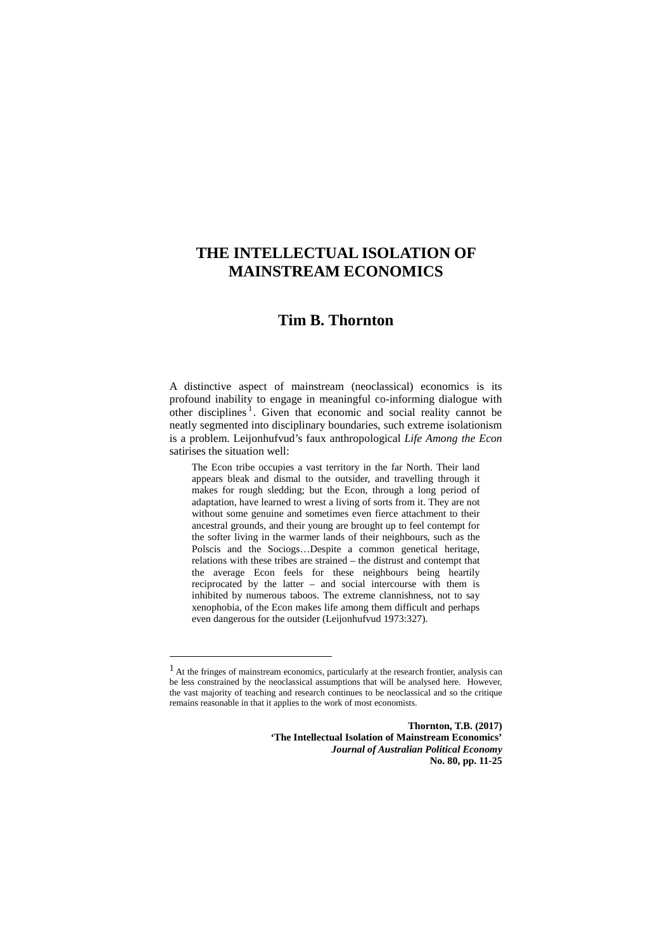# **Tim B. Thornton**

A distinctive aspect of mainstream (neoclassical) economics is its profound inability to engage in meaningful co-informing dialogue with other disciplines<sup>[1](#page-0-0)</sup>. Given that economic and social reality cannot be neatly segmented into disciplinary boundaries, such extreme isolationism is a problem. Leijonhufvud's faux anthropological *Life Among the Econ* satirises the situation well:

The Econ tribe occupies a vast territory in the far North. Their land appears bleak and dismal to the outsider, and travelling through it makes for rough sledding; but the Econ, through a long period of adaptation, have learned to wrest a living of sorts from it. They are not without some genuine and sometimes even fierce attachment to their ancestral grounds, and their young are brought up to feel contempt for the softer living in the warmer lands of their neighbours, such as the Polscis and the Sociogs…Despite a common genetical heritage, relations with these tribes are strained – the distrust and contempt that the average Econ feels for these neighbours being heartily reciprocated by the latter – and social intercourse with them is inhibited by numerous taboos. The extreme clannishness, not to say xenophobia, of the Econ makes life among them difficult and perhaps even dangerous for the outsider (Leijonhufvud 1973:327).

 $\overline{a}$ 

**Thornton, T.B. (2017) 'The Intellectual Isolation of Mainstream Economics'**  *Journal of Australian Political Economy* **No. 80, pp. 11-25**

<span id="page-0-0"></span><sup>&</sup>lt;sup>1</sup> At the fringes of mainstream economics, particularly at the research frontier, analysis can be less constrained by the neoclassical assumptions that will be analysed here. However, the vast majority of teaching and research continues to be neoclassical and so the critique remains reasonable in that it applies to the work of most economists.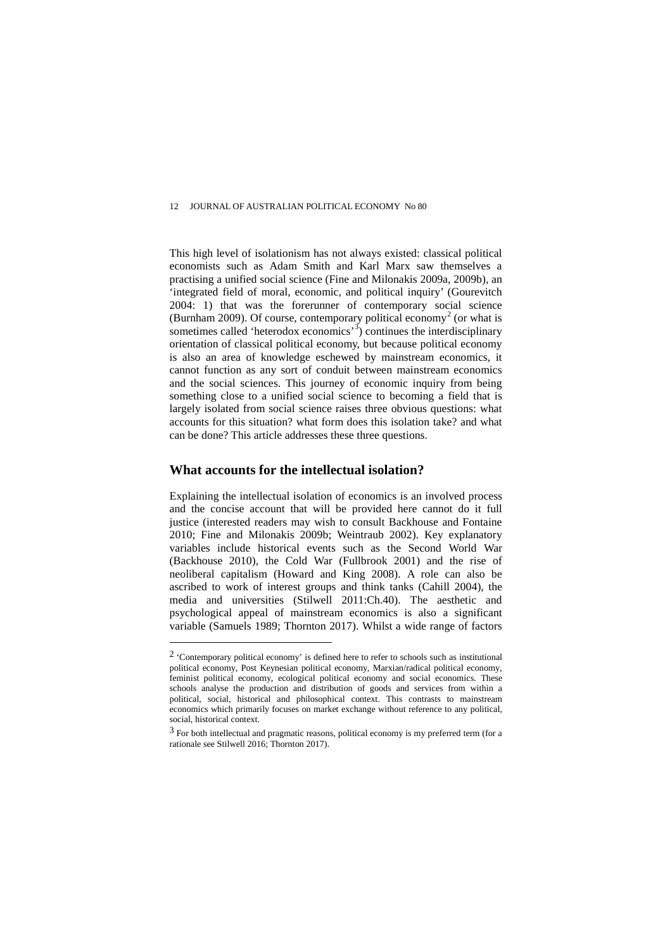This high level of isolationism has not always existed: classical political economists such as Adam Smith and Karl Marx saw themselves a practising a unified social science (Fine and Milonakis 2009a, 2009b), an 'integrated field of moral, economic, and political inquiry' (Gourevitch 2004: 1) that was the forerunner of contemporary social science (Burnham [2](#page-1-0)009). Of course, contemporary political economy<sup>2</sup> (or what is sometimes called 'heterodox economics'<sup>[3](#page-1-1)</sup>) continues the interdisciplinary orientation of classical political economy, but because political economy is also an area of knowledge eschewed by mainstream economics, it cannot function as any sort of conduit between mainstream economics and the social sciences. This journey of economic inquiry from being something close to a unified social science to becoming a field that is largely isolated from social science raises three obvious questions: what accounts for this situation? what form does this isolation take? and what can be done? This article addresses these three questions.

## **What accounts for the intellectual isolation?**

 $\overline{a}$ 

Explaining the intellectual isolation of economics is an involved process and the concise account that will be provided here cannot do it full justice (interested readers may wish to consult Backhouse and Fontaine 2010; Fine and Milonakis 2009b; Weintraub 2002). Key explanatory variables include historical events such as the Second World War (Backhouse 2010), the Cold War (Fullbrook 2001) and the rise of neoliberal capitalism (Howard and King 2008). A role can also be ascribed to work of interest groups and think tanks (Cahill 2004), the media and universities (Stilwell 2011:Ch.40). The aesthetic and psychological appeal of mainstream economics is also a significant variable (Samuels 1989; Thornton 2017). Whilst a wide range of factors

<span id="page-1-0"></span><sup>2</sup> 'Contemporary political economy' is defined here to refer to schools such as institutional political economy, Post Keynesian political economy, Marxian/radical political economy, feminist political economy, ecological political economy and social economics. These schools analyse the production and distribution of goods and services from within a political, social, historical and philosophical context. This contrasts to mainstream economics which primarily focuses on market exchange without reference to any political, social, historical context.

<span id="page-1-1"></span><sup>3</sup> For both intellectual and pragmatic reasons, political economy is my preferred term (for a rationale see Stilwell 2016; Thornton 2017).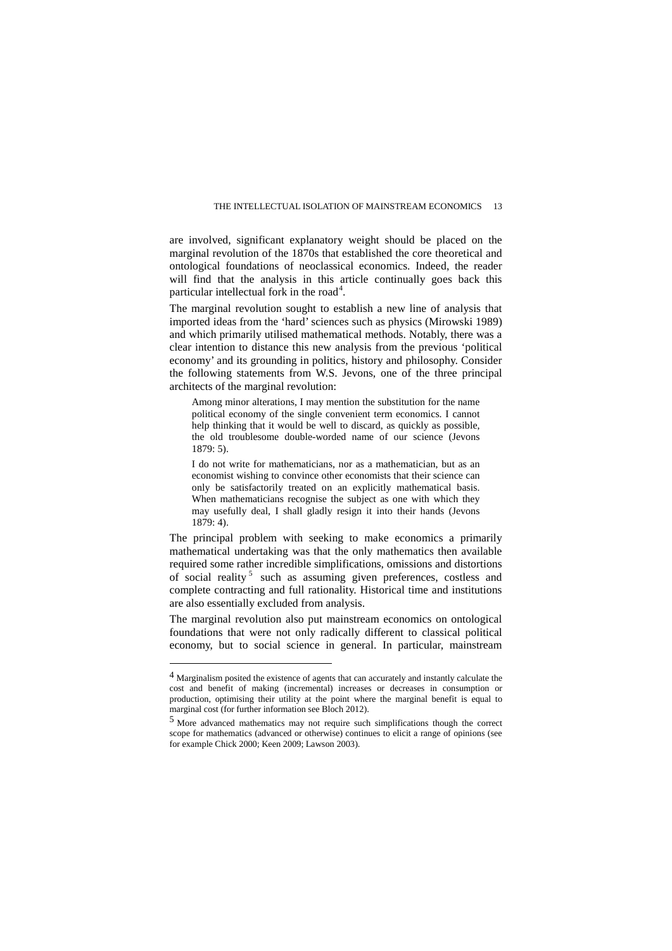are involved, significant explanatory weight should be placed on the marginal revolution of the 1870s that established the core theoretical and ontological foundations of neoclassical economics. Indeed, the reader will find that the analysis in this article continually goes back this particular intellectual fork in the road<sup>[4](#page-2-0)</sup>.

The marginal revolution sought to establish a new line of analysis that imported ideas from the 'hard' sciences such as physics (Mirowski 1989) and which primarily utilised mathematical methods. Notably, there was a clear intention to distance this new analysis from the previous 'political economy' and its grounding in politics, history and philosophy. Consider the following statements from W.S. Jevons, one of the three principal architects of the marginal revolution:

Among minor alterations, I may mention the substitution for the name political economy of the single convenient term economics. I cannot help thinking that it would be well to discard, as quickly as possible, the old troublesome double-worded name of our science (Jevons 1879: 5).

I do not write for mathematicians, nor as a mathematician, but as an economist wishing to convince other economists that their science can only be satisfactorily treated on an explicitly mathematical basis. When mathematicians recognise the subject as one with which they may usefully deal, I shall gladly resign it into their hands (Jevons 1879: 4).

The principal problem with seeking to make economics a primarily mathematical undertaking was that the only mathematics then available required some rather incredible simplifications, omissions and distortions of social reality<sup>[5](#page-2-1)</sup> such as assuming given preferences, costless and complete contracting and full rationality. Historical time and institutions are also essentially excluded from analysis.

The marginal revolution also put mainstream economics on ontological foundations that were not only radically different to classical political economy, but to social science in general. In particular, mainstream

 $\overline{a}$ 

<span id="page-2-0"></span><sup>4</sup> Marginalism posited the existence of agents that can accurately and instantly calculate the cost and benefit of making (incremental) increases or decreases in consumption or production, optimising their utility at the point where the marginal benefit is equal to marginal cost (for further information see Bloch 2012).

<span id="page-2-1"></span><sup>5</sup> More advanced mathematics may not require such simplifications though the correct scope for mathematics (advanced or otherwise) continues to elicit a range of opinions (see for example Chick 2000; Keen 2009; Lawson 2003).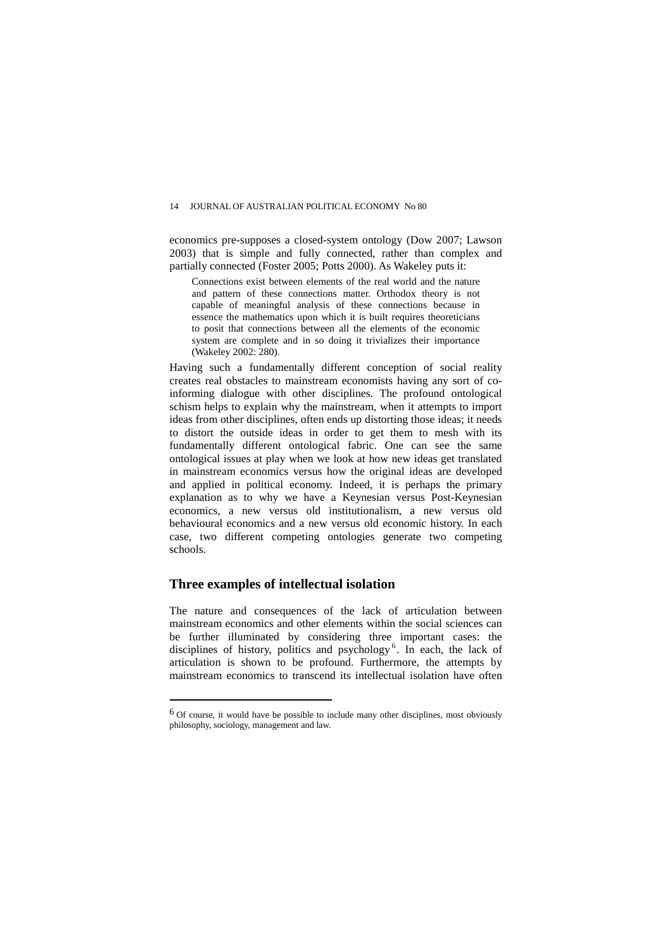economics pre-supposes a closed-system ontology (Dow 2007; Lawson 2003) that is simple and fully connected, rather than complex and partially connected (Foster 2005; Potts 2000). As Wakeley puts it:

Connections exist between elements of the real world and the nature and pattern of these connections matter. Orthodox theory is not capable of meaningful analysis of these connections because in essence the mathematics upon which it is built requires theoreticians to posit that connections between all the elements of the economic system are complete and in so doing it trivializes their importance (Wakeley 2002: 280).

Having such a fundamentally different conception of social reality creates real obstacles to mainstream economists having any sort of coinforming dialogue with other disciplines. The profound ontological schism helps to explain why the mainstream, when it attempts to import ideas from other disciplines, often ends up distorting those ideas; it needs to distort the outside ideas in order to get them to mesh with its fundamentally different ontological fabric. One can see the same ontological issues at play when we look at how new ideas get translated in mainstream economics versus how the original ideas are developed and applied in political economy. Indeed, it is perhaps the primary explanation as to why we have a Keynesian versus Post-Keynesian economics, a new versus old institutionalism, a new versus old behavioural economics and a new versus old economic history. In each case, two different competing ontologies generate two competing schools.

## **Three examples of intellectual isolation**

 $\overline{a}$ 

The nature and consequences of the lack of articulation between mainstream economics and other elements within the social sciences can be further illuminated by considering three important cases: the disciplines of history, politics and psychology<sup>[6](#page-3-0)</sup>. In each, the lack of articulation is shown to be profound. Furthermore, the attempts by mainstream economics to transcend its intellectual isolation have often

<span id="page-3-0"></span><sup>6</sup> Of course, it would have be possible to include many other disciplines, most obviously philosophy, sociology, management and law.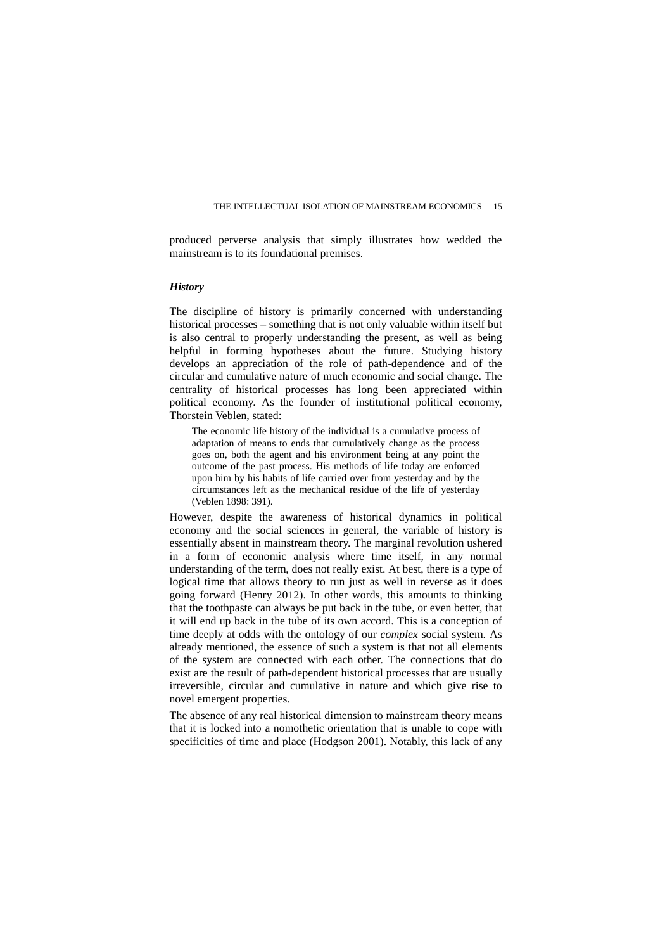produced perverse analysis that simply illustrates how wedded the mainstream is to its foundational premises.

### *History*

The discipline of history is primarily concerned with understanding historical processes – something that is not only valuable within itself but is also central to properly understanding the present, as well as being helpful in forming hypotheses about the future. Studying history develops an appreciation of the role of path-dependence and of the circular and cumulative nature of much economic and social change. The centrality of historical processes has long been appreciated within political economy. As the founder of institutional political economy, Thorstein Veblen, stated:

The economic life history of the individual is a cumulative process of adaptation of means to ends that cumulatively change as the process goes on, both the agent and his environment being at any point the outcome of the past process. His methods of life today are enforced upon him by his habits of life carried over from yesterday and by the circumstances left as the mechanical residue of the life of yesterday (Veblen 1898: 391).

However, despite the awareness of historical dynamics in political economy and the social sciences in general, the variable of history is essentially absent in mainstream theory. The marginal revolution ushered in a form of economic analysis where time itself, in any normal understanding of the term, does not really exist. At best, there is a type of logical time that allows theory to run just as well in reverse as it does going forward (Henry 2012). In other words, this amounts to thinking that the toothpaste can always be put back in the tube, or even better, that it will end up back in the tube of its own accord. This is a conception of time deeply at odds with the ontology of our *complex* social system. As already mentioned, the essence of such a system is that not all elements of the system are connected with each other. The connections that do exist are the result of path-dependent historical processes that are usually irreversible, circular and cumulative in nature and which give rise to novel emergent properties.

The absence of any real historical dimension to mainstream theory means that it is locked into a nomothetic orientation that is unable to cope with specificities of time and place (Hodgson 2001). Notably, this lack of any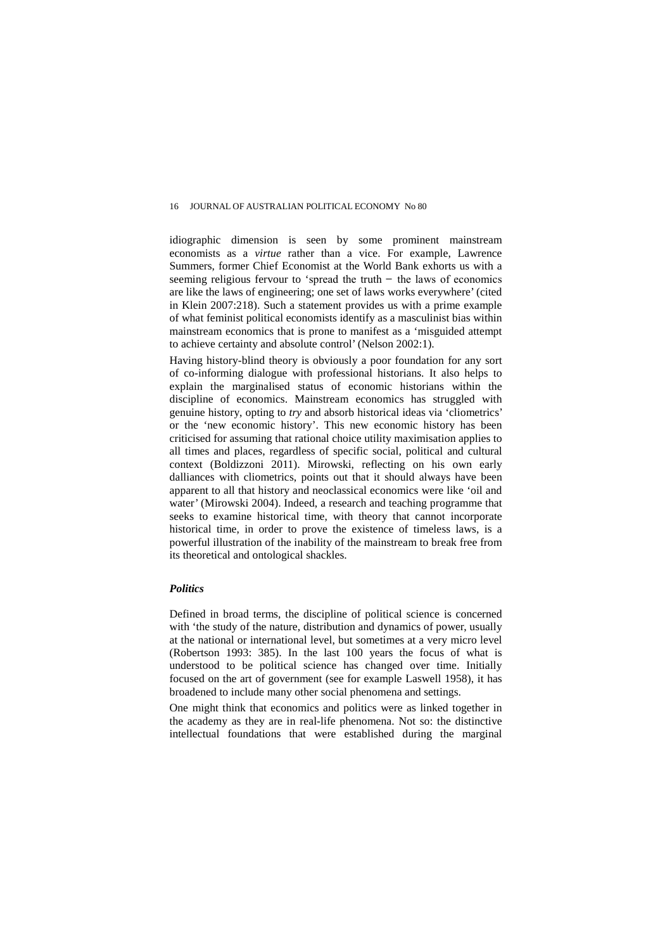idiographic dimension is seen by some prominent mainstream economists as a *virtue* rather than a vice. For example, Lawrence Summers, former Chief Economist at the World Bank exhorts us with a seeming religious fervour to 'spread the truth  $-$  the laws of economics are like the laws of engineering; one set of laws works everywhere' (cited in Klein 2007:218). Such a statement provides us with a prime example of what feminist political economists identify as a masculinist bias within mainstream economics that is prone to manifest as a 'misguided attempt to achieve certainty and absolute control' (Nelson 2002:1).

Having history-blind theory is obviously a poor foundation for any sort of co-informing dialogue with professional historians. It also helps to explain the marginalised status of economic historians within the discipline of economics. Mainstream economics has struggled with genuine history, opting to *try* and absorb historical ideas via 'cliometrics' or the 'new economic history'. This new economic history has been criticised for assuming that rational choice utility maximisation applies to all times and places, regardless of specific social, political and cultural context (Boldizzoni 2011). Mirowski, reflecting on his own early dalliances with cliometrics, points out that it should always have been apparent to all that history and neoclassical economics were like 'oil and water' (Mirowski 2004). Indeed, a research and teaching programme that seeks to examine historical time, with theory that cannot incorporate historical time, in order to prove the existence of timeless laws, is a powerful illustration of the inability of the mainstream to break free from its theoretical and ontological shackles.

## *Politics*

Defined in broad terms, the discipline of political science is concerned with 'the study of the nature, distribution and dynamics of power, usually at the national or international level, but sometimes at a very micro level (Robertson 1993: 385). In the last 100 years the focus of what is understood to be political science has changed over time. Initially focused on the art of government (see for example Laswell 1958), it has broadened to include many other social phenomena and settings.

One might think that economics and politics were as linked together in the academy as they are in real-life phenomena. Not so: the distinctive intellectual foundations that were established during the marginal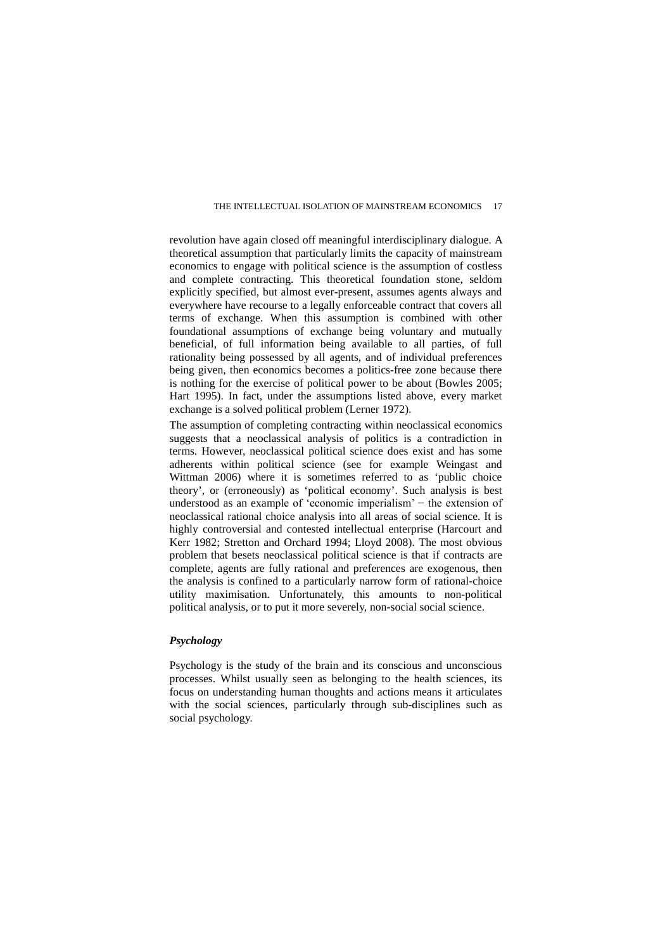revolution have again closed off meaningful interdisciplinary dialogue. A theoretical assumption that particularly limits the capacity of mainstream economics to engage with political science is the assumption of costless and complete contracting. This theoretical foundation stone, seldom explicitly specified, but almost ever-present, assumes agents always and everywhere have recourse to a legally enforceable contract that covers all terms of exchange. When this assumption is combined with other foundational assumptions of exchange being voluntary and mutually beneficial, of full information being available to all parties, of full rationality being possessed by all agents, and of individual preferences being given, then economics becomes a politics-free zone because there is nothing for the exercise of political power to be about (Bowles 2005; Hart 1995). In fact, under the assumptions listed above, every market exchange is a solved political problem (Lerner 1972).

The assumption of completing contracting within neoclassical economics suggests that a neoclassical analysis of politics is a contradiction in terms. However, neoclassical political science does exist and has some adherents within political science (see for example Weingast and Wittman 2006) where it is sometimes referred to as 'public choice theory', or (erroneously) as 'political economy'. Such analysis is best understood as an example of 'economic imperialism' − the extension of neoclassical rational choice analysis into all areas of social science. It is highly controversial and contested intellectual enterprise (Harcourt and Kerr 1982; Stretton and Orchard 1994; Lloyd 2008). The most obvious problem that besets neoclassical political science is that if contracts are complete, agents are fully rational and preferences are exogenous, then the analysis is confined to a particularly narrow form of rational-choice utility maximisation. Unfortunately, this amounts to non-political political analysis, or to put it more severely, non-social social science.

## *Psychology*

Psychology is the study of the brain and its conscious and unconscious processes. Whilst usually seen as belonging to the health sciences, its focus on understanding human thoughts and actions means it articulates with the social sciences, particularly through sub-disciplines such as social psychology.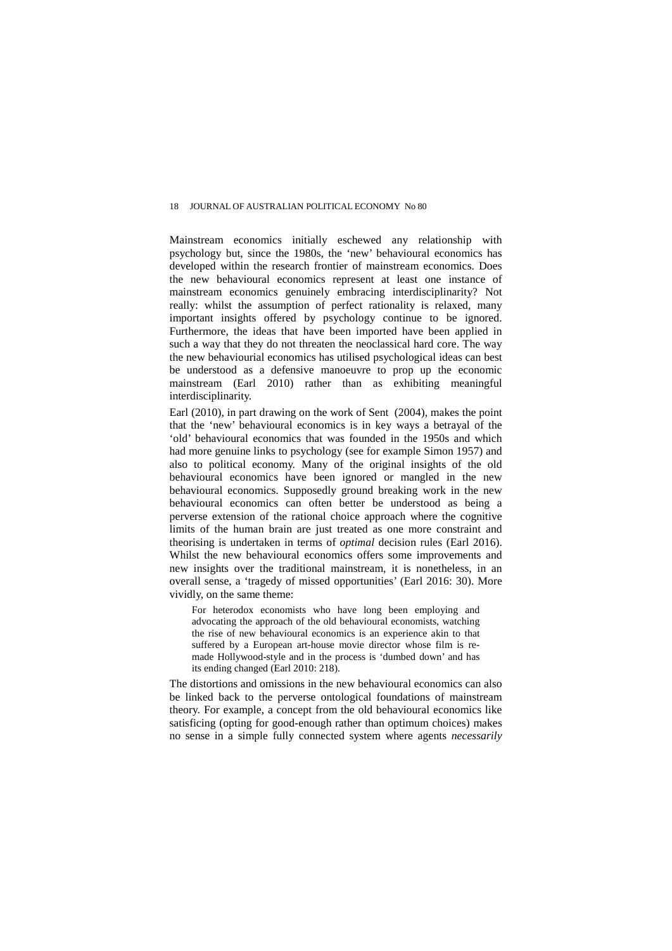Mainstream economics initially eschewed any relationship with psychology but, since the 1980s, the 'new' behavioural economics has developed within the research frontier of mainstream economics. Does the new behavioural economics represent at least one instance of mainstream economics genuinely embracing interdisciplinarity? Not really: whilst the assumption of perfect rationality is relaxed, many important insights offered by psychology continue to be ignored. Furthermore, the ideas that have been imported have been applied in such a way that they do not threaten the neoclassical hard core. The way the new behaviourial economics has utilised psychological ideas can best be understood as a defensive manoeuvre to prop up the economic mainstream (Earl 2010) rather than as exhibiting meaningful interdisciplinarity.

Earl (2010), in part drawing on the work of Sent (2004), makes the point that the 'new' behavioural economics is in key ways a betrayal of the 'old' behavioural economics that was founded in the 1950s and which had more genuine links to psychology (see for example Simon 1957) and also to political economy. Many of the original insights of the old behavioural economics have been ignored or mangled in the new behavioural economics. Supposedly ground breaking work in the new behavioural economics can often better be understood as being a perverse extension of the rational choice approach where the cognitive limits of the human brain are just treated as one more constraint and theorising is undertaken in terms of *optimal* decision rules (Earl 2016). Whilst the new behavioural economics offers some improvements and new insights over the traditional mainstream, it is nonetheless, in an overall sense, a 'tragedy of missed opportunities' (Earl 2016: 30). More vividly, on the same theme:

For heterodox economists who have long been employing and advocating the approach of the old behavioural economists, watching the rise of new behavioural economics is an experience akin to that suffered by a European art-house movie director whose film is remade Hollywood-style and in the process is 'dumbed down' and has its ending changed (Earl 2010: 218).

The distortions and omissions in the new behavioural economics can also be linked back to the perverse ontological foundations of mainstream theory. For example, a concept from the old behavioural economics like satisficing (opting for good-enough rather than optimum choices) makes no sense in a simple fully connected system where agents *necessarily*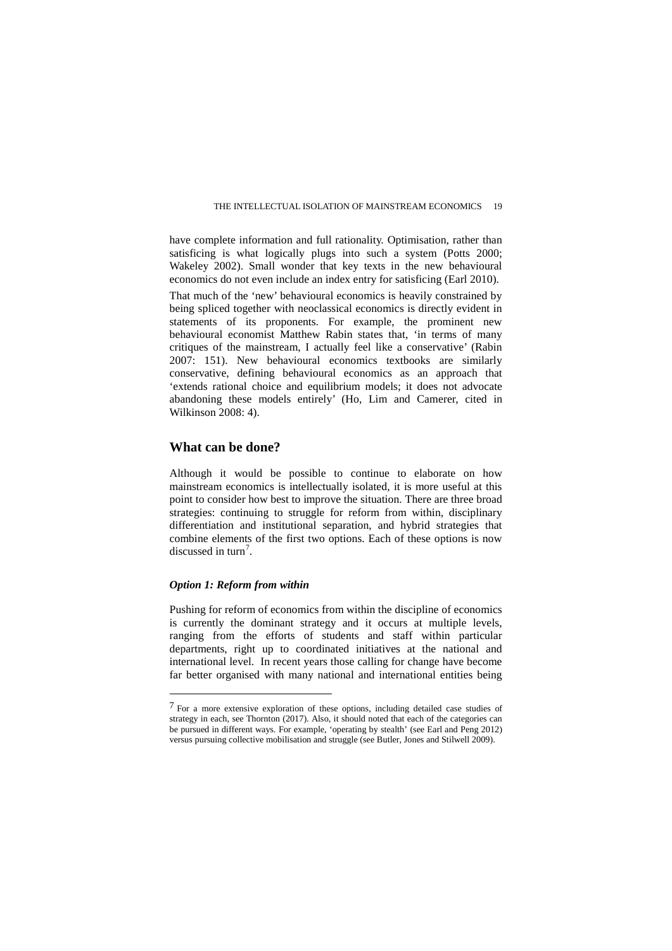have complete information and full rationality. Optimisation, rather than satisficing is what logically plugs into such a system (Potts 2000; Wakeley 2002). Small wonder that key texts in the new behavioural economics do not even include an index entry for satisficing (Earl 2010).

That much of the 'new' behavioural economics is heavily constrained by being spliced together with neoclassical economics is directly evident in statements of its proponents. For example, the prominent new behavioural economist Matthew Rabin states that, 'in terms of many critiques of the mainstream, I actually feel like a conservative' (Rabin 2007: 151). New behavioural economics textbooks are similarly conservative, defining behavioural economics as an approach that 'extends rational choice and equilibrium models; it does not advocate abandoning these models entirely' (Ho, Lim and Camerer, cited in Wilkinson 2008: 4).

## **What can be done?**

Although it would be possible to continue to elaborate on how mainstream economics is intellectually isolated, it is more useful at this point to consider how best to improve the situation. There are three broad strategies: continuing to struggle for reform from within, disciplinary differentiation and institutional separation, and hybrid strategies that combine elements of the first two options. Each of these options is now discussed in turn<sup>[7](#page-8-0)</sup>.

## *Option 1: Reform from within*

 $\overline{a}$ 

Pushing for reform of economics from within the discipline of economics is currently the dominant strategy and it occurs at multiple levels, ranging from the efforts of students and staff within particular departments, right up to coordinated initiatives at the national and international level. In recent years those calling for change have become far better organised with many national and international entities being

<span id="page-8-0"></span><sup>7</sup> For a more extensive exploration of these options, including detailed case studies of strategy in each, see Thornton (2017). Also, it should noted that each of the categories can be pursued in different ways. For example, 'operating by stealth' (see Earl and Peng 2012) versus pursuing collective mobilisation and struggle (see Butler, Jones and Stilwell 2009).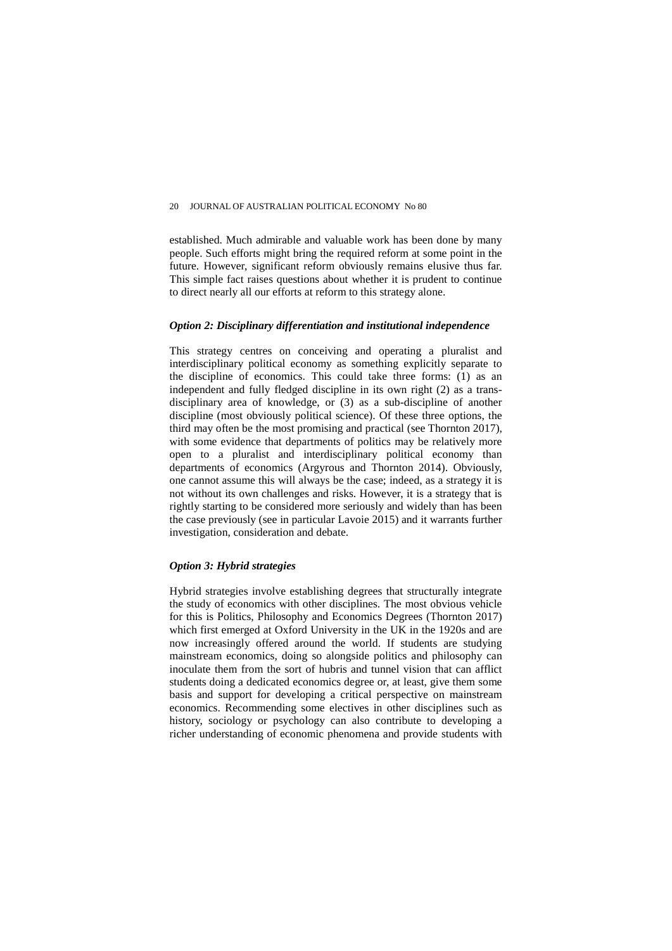established. Much admirable and valuable work has been done by many people. Such efforts might bring the required reform at some point in the future. However, significant reform obviously remains elusive thus far. This simple fact raises questions about whether it is prudent to continue to direct nearly all our efforts at reform to this strategy alone.

### *Option 2: Disciplinary differentiation and institutional independence*

This strategy centres on conceiving and operating a pluralist and interdisciplinary political economy as something explicitly separate to the discipline of economics. This could take three forms: (1) as an independent and fully fledged discipline in its own right (2) as a transdisciplinary area of knowledge, or (3) as a sub-discipline of another discipline (most obviously political science). Of these three options, the third may often be the most promising and practical (see Thornton 2017), with some evidence that departments of politics may be relatively more open to a pluralist and interdisciplinary political economy than departments of economics (Argyrous and Thornton 2014). Obviously, one cannot assume this will always be the case; indeed, as a strategy it is not without its own challenges and risks. However, it is a strategy that is rightly starting to be considered more seriously and widely than has been the case previously (see in particular Lavoie 2015) and it warrants further investigation, consideration and debate.

## *Option 3: Hybrid strategies*

Hybrid strategies involve establishing degrees that structurally integrate the study of economics with other disciplines. The most obvious vehicle for this is Politics, Philosophy and Economics Degrees (Thornton 2017) which first emerged at Oxford University in the UK in the 1920s and are now increasingly offered around the world. If students are studying mainstream economics, doing so alongside politics and philosophy can inoculate them from the sort of hubris and tunnel vision that can afflict students doing a dedicated economics degree or, at least, give them some basis and support for developing a critical perspective on mainstream economics. Recommending some electives in other disciplines such as history, sociology or psychology can also contribute to developing a richer understanding of economic phenomena and provide students with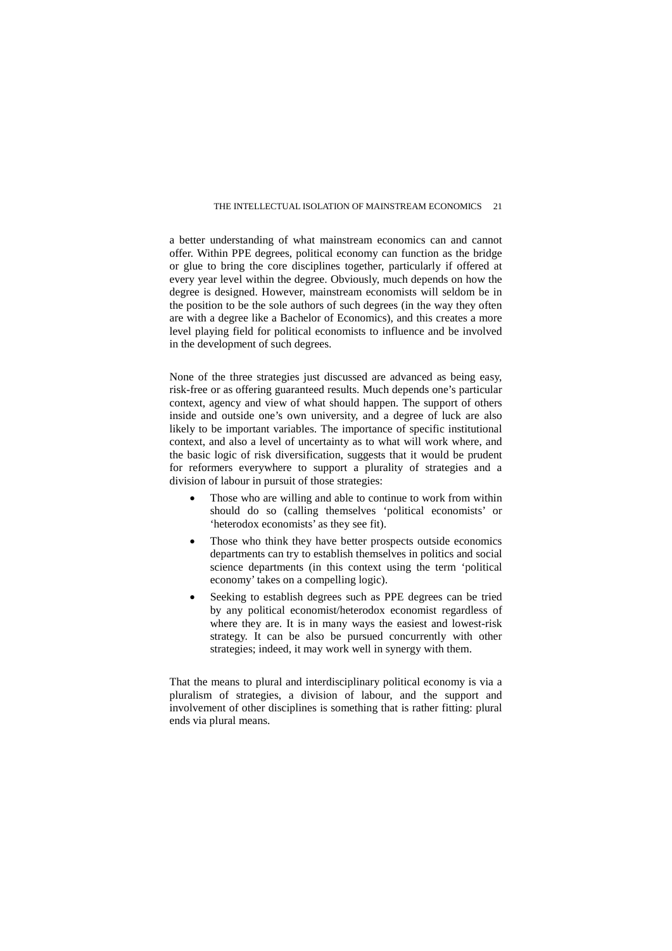a better understanding of what mainstream economics can and cannot offer. Within PPE degrees, political economy can function as the bridge or glue to bring the core disciplines together, particularly if offered at every year level within the degree. Obviously, much depends on how the degree is designed. However, mainstream economists will seldom be in the position to be the sole authors of such degrees (in the way they often are with a degree like a Bachelor of Economics), and this creates a more level playing field for political economists to influence and be involved in the development of such degrees.

None of the three strategies just discussed are advanced as being easy, risk-free or as offering guaranteed results. Much depends one's particular context, agency and view of what should happen. The support of others inside and outside one's own university, and a degree of luck are also likely to be important variables. The importance of specific institutional context, and also a level of uncertainty as to what will work where, and the basic logic of risk diversification, suggests that it would be prudent for reformers everywhere to support a plurality of strategies and a division of labour in pursuit of those strategies:

- Those who are willing and able to continue to work from within should do so (calling themselves 'political economists' or 'heterodox economists' as they see fit).
- Those who think they have better prospects outside economics departments can try to establish themselves in politics and social science departments (in this context using the term 'political economy' takes on a compelling logic).
- Seeking to establish degrees such as PPE degrees can be tried by any political economist/heterodox economist regardless of where they are. It is in many ways the easiest and lowest-risk strategy. It can be also be pursued concurrently with other strategies; indeed, it may work well in synergy with them.

That the means to plural and interdisciplinary political economy is via a pluralism of strategies, a division of labour, and the support and involvement of other disciplines is something that is rather fitting: plural ends via plural means.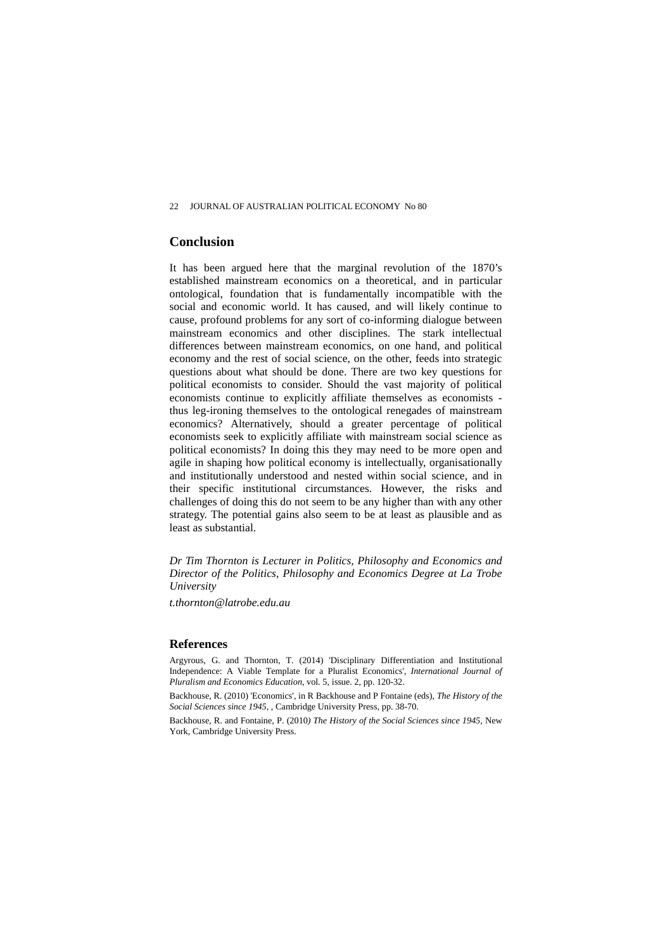# **Conclusion**

It has been argued here that the marginal revolution of the 1870's established mainstream economics on a theoretical, and in particular ontological, foundation that is fundamentally incompatible with the social and economic world. It has caused, and will likely continue to cause, profound problems for any sort of co-informing dialogue between mainstream economics and other disciplines. The stark intellectual differences between mainstream economics, on one hand, and political economy and the rest of social science, on the other, feeds into strategic questions about what should be done. There are two key questions for political economists to consider. Should the vast majority of political economists continue to explicitly affiliate themselves as economists thus leg-ironing themselves to the ontological renegades of mainstream economics? Alternatively, should a greater percentage of political economists seek to explicitly affiliate with mainstream social science as political economists? In doing this they may need to be more open and agile in shaping how political economy is intellectually, organisationally and institutionally understood and nested within social science, and in their specific institutional circumstances. However, the risks and challenges of doing this do not seem to be any higher than with any other strategy. The potential gains also seem to be at least as plausible and as least as substantial.

*Dr Tim Thornton is Lecturer in Politics, Philosophy and Economics and Director of the Politics, Philosophy and Economics Degree at La Trobe University* 

*t.thornton@latrobe.edu.au*

## **References**

Argyrous, G. and Thornton, T. (2014) 'Disciplinary Differentiation and Institutional Independence: A Viable Template for a Pluralist Economics', *International Journal of Pluralism and Economics Education*, vol. 5, issue. 2, pp. 120-32.

Backhouse, R. (2010) 'Economics', in R Backhouse and P Fontaine (eds), *The History of the Social Sciences since 1945*, , Cambridge University Press, pp. 38-70.

Backhouse, R. and Fontaine, P. (2010*) The History of the Social Sciences since 1945*, New York, Cambridge University Press.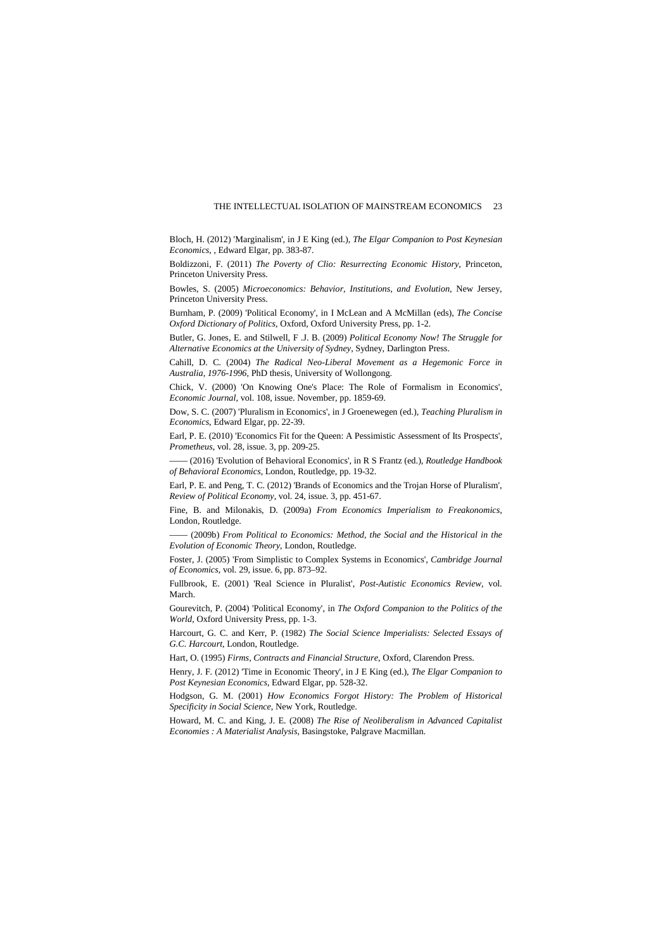Bloch, H. (2012) 'Marginalism', in J E King (ed.), *The Elgar Companion to Post Keynesian Economics*, , Edward Elgar, pp. 383-87.

Boldizzoni, F. (2011) *The Poverty of Clio: Resurrecting Economic History*, Princeton, Princeton University Press.

Bowles, S. (2005) *Microeconomics: Behavior, Institutions, and Evolution*, New Jersey, Princeton University Press.

Burnham, P. (2009) 'Political Economy', in I McLean and A McMillan (eds), *The Concise Oxford Dictionary of Politics*, Oxford, Oxford University Press, pp. 1-2.

Butler, G. Jones, E. and Stilwell, F .J. B. (2009) *Political Economy Now! The Struggle for Alternative Economics at the University of Sydney*, Sydney, Darlington Press.

Cahill, D. C. (2004) *The Radical Neo-Liberal Movement as a Hegemonic Force in Australia, 1976-1996*, PhD thesis, University of Wollongong.

Chick, V. (2000) 'On Knowing One's Place: The Role of Formalism in Economics', *Economic Journal*, vol. 108, issue. November, pp. 1859-69.

Dow, S. C. (2007) 'Pluralism in Economics', in J Groenewegen (ed.), *Teaching Pluralism in Economics*, Edward Elgar, pp. 22-39.

Earl, P. E. (2010) 'Economics Fit for the Queen: A Pessimistic Assessment of Its Prospects', *Prometheus*, vol. 28, issue. 3, pp. 209-25.

—— (2016) 'Evolution of Behavioral Economics', in R S Frantz (ed.), *Routledge Handbook of Behavioral Economics*, London, Routledge, pp. 19-32.

Earl, P. E. and Peng, T. C. (2012) 'Brands of Economics and the Trojan Horse of Pluralism', *Review of Political Economy*, vol. 24, issue. 3, pp. 451-67.

Fine, B. and Milonakis, D. (2009a) *From Economics Imperialism to Freakonomics*, London, Routledge.

—— (2009b) *From Political to Economics: Method, the Social and the Historical in the Evolution of Economic Theory*, London, Routledge.

Foster, J. (2005) 'From Simplistic to Complex Systems in Economics', *Cambridge Journal of Economics*, vol. 29, issue. 6, pp. 873–92.

Fullbrook, E. (2001) 'Real Science in Pluralist', *Post-Autistic Economics Review*, vol. March.

Gourevitch, P. (2004) 'Political Economy', in *The Oxford Companion to the Politics of the World*, Oxford University Press, pp. 1-3.

Harcourt, G. C. and Kerr, P. (1982) *The Social Science Imperialists: Selected Essays of G.C. Harcourt*, London, Routledge.

Hart, O. (1995) *Firms, Contracts and Financial Structure*, Oxford, Clarendon Press.

Henry, J. F. (2012) 'Time in Economic Theory', in J E King (ed.), *The Elgar Companion to Post Keynesian Economics*, Edward Elgar, pp. 528-32.

Hodgson, G. M. (2001) *How Economics Forgot History: The Problem of Historical Specificity in Social Science*, New York, Routledge.

Howard, M. C. and King, J. E. (2008) *The Rise of Neoliberalism in Advanced Capitalist Economies : A Materialist Analysis*, Basingstoke, Palgrave Macmillan.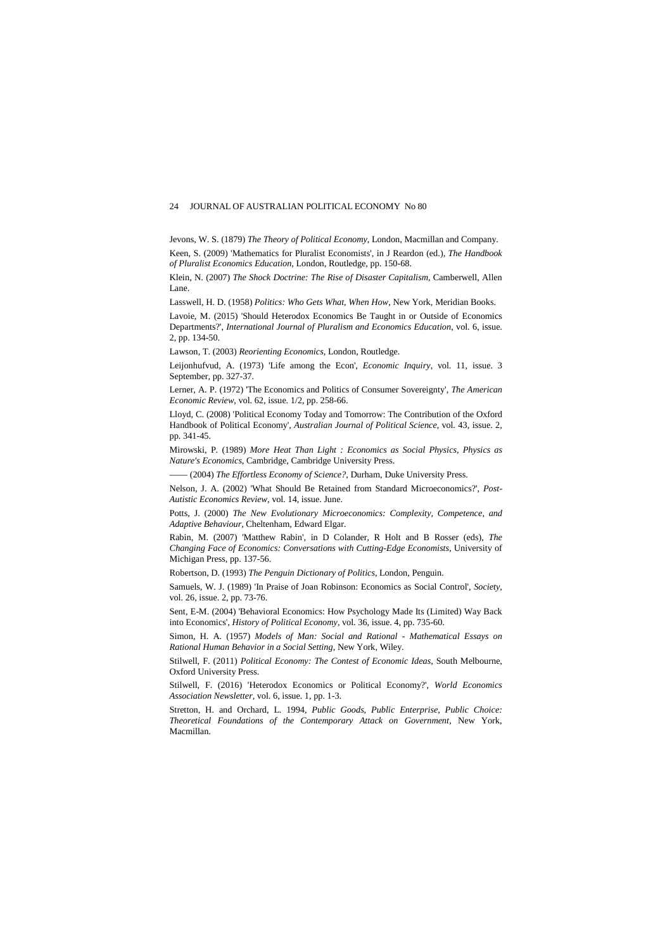Jevons, W. S. (1879) *The Theory of Political Economy*, London, Macmillan and Company. Keen, S. (2009) 'Mathematics for Pluralist Economists', in J Reardon (ed.), *The Handbook of Pluralist Economics Education*, London, Routledge, pp. 150-68.

Klein, N. (2007) *The Shock Doctrine: The Rise of Disaster Capitalism*, Camberwell, Allen Lane.

Lasswell, H. D. (1958) *Politics: Who Gets What, When How*, New York, Meridian Books.

Lavoie, M. (2015) 'Should Heterodox Economics Be Taught in or Outside of Economics Departments?', *International Journal of Pluralism and Economics Education*, vol. 6, issue. 2, pp. 134-50.

Lawson, T. (2003) *Reorienting Economics*, London, Routledge.

Leijonhufvud, A. (1973) 'Life among the Econ', *Economic Inquiry*, vol. 11, issue. 3 September, pp. 327-37.

Lerner, A. P. (1972) 'The Economics and Politics of Consumer Sovereignty', *The American Economic Review*, vol. 62, issue. 1/2, pp. 258-66.

Lloyd, C. (2008) 'Political Economy Today and Tomorrow: The Contribution of the Oxford Handbook of Political Economy', *Australian Journal of Political Science*, vol. 43, issue. 2, pp. 341-45.

Mirowski, P. (1989) *More Heat Than Light : Economics as Social Physics, Physics as Nature's Economics*, Cambridge, Cambridge University Press.

—— (2004) *The Effortless Economy of Science?*, Durham, Duke University Press.

Nelson, J. A. (2002) 'What Should Be Retained from Standard Microeconomics?', *Post-Autistic Economics Review*, vol. 14, issue. June.

Potts, J. (2000) *The New Evolutionary Microeconomics: Complexity, Competence, and Adaptive Behaviour*, Cheltenham, Edward Elgar.

Rabin, M. (2007) 'Matthew Rabin', in D Colander, R Holt and B Rosser (eds), *The Changing Face of Economics: Conversations with Cutting-Edge Economists*, University of Michigan Press, pp. 137-56.

Robertson, D. (1993) *The Penguin Dictionary of Politics*, London, Penguin.

Samuels, W. J. (1989) 'In Praise of Joan Robinson: Economics as Social Control', *Society*, vol. 26, issue. 2, pp. 73-76.

Sent, E-M. (2004) 'Behavioral Economics: How Psychology Made Its (Limited) Way Back into Economics', *History of Political Economy*, vol. 36, issue. 4, pp. 735-60.

Simon, H. A. (1957) *Models of Man: Social and Rational - Mathematical Essays on Rational Human Behavior in a Social Setting*, New York, Wiley.

Stilwell, F. (2011) *Political Economy: The Contest of Economic Ideas*, South Melbourne, Oxford University Press.

Stilwell, F. (2016) 'Heterodox Economics or Political Economy?', *World Economics Association Newsletter*, vol. 6, issue. 1, pp. 1-3.

Stretton, H. and Orchard, L. 1994, *Public Goods, Public Enterprise, Public Choice: Theoretical Foundations of the Contemporary Attack on Government*, New York, Macmillan.